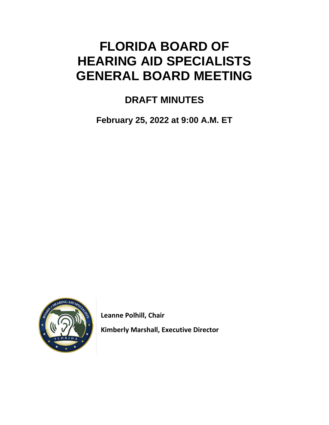# **FLORIDA BOARD OF HEARING AID SPECIALISTS GENERAL BOARD MEETING**

## **DRAFT MINUTES**

**February 25, 2022 at 9:00 A.M. ET**



 **Leanne Polhill, Chair**

 **Kimberly Marshall, Executive Director**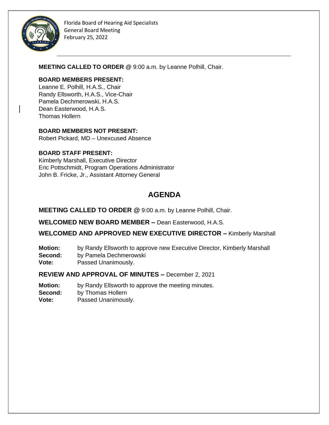

**MEETING CALLED TO ORDER @** 9:00 a.m. by Leanne Polhill, Chair.

#### **BOARD MEMBERS PRESENT:**

Leanne E. Polhill, H.A.S., Chair Randy Ellsworth, H.A.S., Vice-Chair Pamela Dechmerowski, H.A.S. Dean Easterwood, H.A.S. Thomas Hollern

#### **BOARD MEMBERS NOT PRESENT:**

Robert Pickard, MD – Unexcused Absence

#### **BOARD STAFF PRESENT:**

Kimberly Marshall, Executive Director Eric Pottschmidt, Program Operations Administrator John B. Fricke, Jr., Assistant Attorney General

### **AGENDA**

#### **MEETING CALLED TO ORDER @** 9:00 a.m. by Leanne Polhill, Chair.

**WELCOMED NEW BOARD MEMBER –** Dean Easterwood, H.A.S.

**WELCOMED AND APPROVED NEW EXECUTIVE DIRECTOR –** Kimberly Marshall

- **Motion:** by Randy Ellsworth to approve new Executive Director, Kimberly Marshall
- **Second:** by Pamela Dechmerowski
- **Vote:** Passed Unanimously.

**REVIEW AND APPROVAL OF MINUTES –** December 2, 2021

**Motion:** by Randy Ellsworth to approve the meeting minutes.

**Second:** by Thomas Hollern

**Vote:** Passed Unanimously.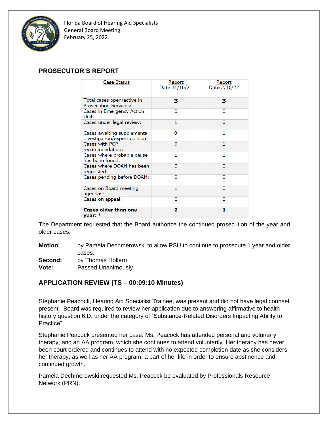

#### **PROSECUTOR'S REPORT**

| <b>Case Status</b>                                           | Report<br>Date 11/16/21 | Report<br>Date 2/16/22 |
|--------------------------------------------------------------|-------------------------|------------------------|
| Total cases open/active in<br><b>Prosecution Services:</b>   | з                       | з                      |
| Cases in Emergency Action<br>Unit:                           | 0                       | 0                      |
| Cases under legal review:                                    | 1                       | $\Omega$               |
| Cases awaiting supplemental<br>investigation/expert opinion: | 0                       | 1                      |
| Cases with PCP<br>recommendation:                            | 0                       | 1                      |
| Cases where probable cause<br>has been found:                | 1                       | 1                      |
| Cases where DOAH has been<br>requested:                      | $\Omega$                | 0                      |
| Cases pending before DOAH:                                   | 0                       | 0                      |
| Cases on Board meeting<br>agendas:                           | 1                       | o                      |
| Cases on appeal:                                             | 0                       | $\Omega$               |
| <b>Cases older than one</b><br>vear: $*$                     | 2                       | 1                      |

The Department requested that the Board authorize the continued prosecution of the year and older cases.

- **Motion**: by Pamela Dechmerowski to allow PSU to continue to prosecute 1 year and older cases.
- **Second:** by Thomas Hollern
- **Vote:** Passed Unanimously

#### **APPLICATION REVIEW (TS – 00:09:10 Minutes)**

Stephanie Peacock, Hearing Aid Specialist Trainee, was present and did not have legal counsel present. Board was required to review her application due to answering affirmative to health history question 6.D. under the category of "Substance-Related Disorders Impacting Ability to Practice".

Stephanie Peacock presented her case. Ms. Peacock has attended personal and voluntary therapy, and an AA program, which she continues to attend voluntarily. Her therapy has never been court ordered and continues to attend with no expected completion date as she considers her therapy, as well as her AA program, a part of her life in order to ensure abstinence and continued growth.

Pamela Dechmerowski requested Ms. Peacock be evaluated by Professionals Resource Network (PRN).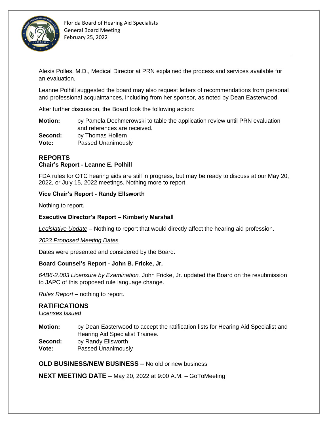

Alexis Polles, M.D., Medical Director at PRN explained the process and services available for an evaluation.

Leanne Polhill suggested the board may also request letters of recommendations from personal and professional acquaintances, including from her sponsor, as noted by Dean Easterwood.

After further discussion, the Board took the following action:

**Motion:** by Pamela Dechmerowski to table the application review until PRN evaluation and references are received. **Second:** by Thomas Hollern

**Vote:** Passed Unanimously

#### **REPORTS Chair's Report - Leanne E. Polhill**

FDA rules for OTC hearing aids are still in progress, but may be ready to discuss at our May 20, 2022, or July 15, 2022 meetings. Nothing more to report.

#### **Vice Chair's Report - Randy Ellsworth**

Nothing to report.

#### **Executive Director's Report – Kimberly Marshall**

*Legislative Update* – Nothing to report that would directly affect the hearing aid profession.

#### *2023 Proposed Meeting Dates*

Dates were presented and considered by the Board.

#### **Board Counsel's Report - John B. Fricke, Jr.**

*64B6-2.003 Licensure by Examination.* John Fricke, Jr. updated the Board on the resubmission to JAPC of this proposed rule language change.

*Rules Report* – nothing to report.

#### **RATIFICATIONS**

*Licenses Issued*

**Motion:** by Dean Easterwood to accept the ratification lists for Hearing Aid Specialist and Hearing Aid Specialist Trainee. **Second:** by Randy Ellsworth **Vote:** Passed Unanimously

#### **OLD BUSINESS/NEW BUSINESS –** No old or new business

**NEXT MEETING DATE –** May 20, 2022 at 9:00 A.M. – GoToMeeting